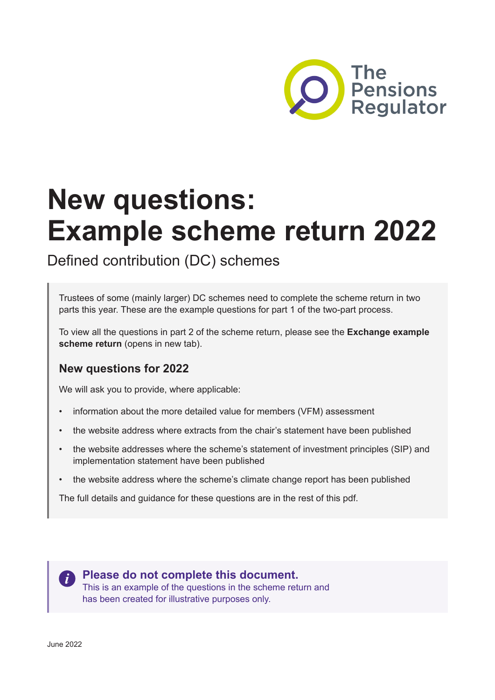

# **New questions: Example scheme return 2022**

Defined contribution (DC) schemes

Trustees of some (mainly larger) DC schemes need to complete the scheme return in two parts this year. These are the example questions for part 1 of the two-part process.

To view all the questions in part 2 of the scheme return, please see the **[Exchange example](https://www.thepensionsregulator.gov.uk/en/trustees/submit-reports-payments-and-requests-to-us/scheme-return/dc-scheme-return/two-part-dc-scheme-return) [scheme return](https://www.thepensionsregulator.gov.uk/en/trustees/submit-reports-payments-and-requests-to-us/scheme-return/dc-scheme-return/two-part-dc-scheme-return)** (opens in new tab).

# **New questions for 2022**

We will ask you to provide, where applicable:

- information about the more detailed value for members (VFM) assessment
- the website address where extracts from the chair's statement have been published
- the website addresses where the scheme's statement of investment principles (SIP) and implementation statement have been published
- the website address where the scheme's climate change report has been published

The full details and guidance for these questions are in the rest of this pdf.

**Please do not complete this document.** This is an example of the questions in the scheme return and has been created for illustrative purposes only.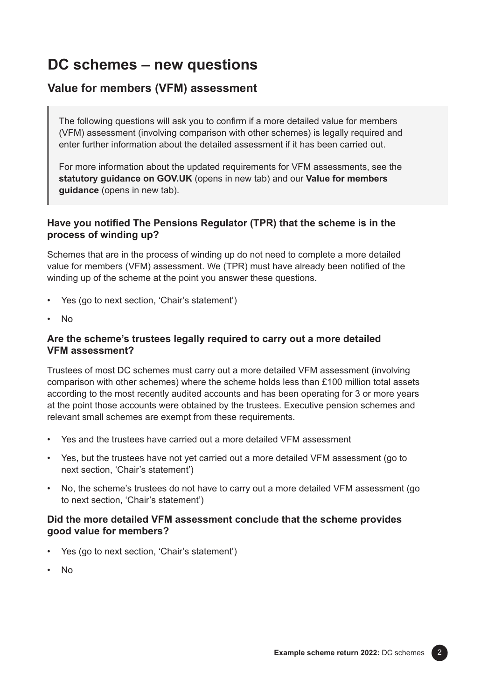# **DC schemes – new questions**

# **Value for members (VFM) assessment**

The following questions will ask you to confirm if a more detailed value for members (VFM) assessment (involving comparison with other schemes) is legally required and enter further information about the detailed assessment if it has been carried out.

For more information about the updated requirements for VFM assessments, see the **[statutory guidance on GOV.UK](https://www.gov.uk/government/publications/completing-the-annual-value-for-members-assessment-and-reporting-of-net-investment-returns/completing-the-annual-value-for-members-assessment-and-reporting-of-net-investment-returns)** (opens in new tab) and our **[Value for members](https://www.thepensionsregulator.gov.uk/en/document-library/scheme-management-detailed-guidance/governing-body-detailed-guidance/5-value-for-members)  [guidance](https://www.thepensionsregulator.gov.uk/en/document-library/scheme-management-detailed-guidance/governing-body-detailed-guidance/5-value-for-members)** (opens in new tab).

## **Have you notified The Pensions Regulator (TPR) that the scheme is in the process of winding up?**

Schemes that are in the process of winding up do not need to complete a more detailed value for members (VFM) assessment. We (TPR) must have already been notified of the winding up of the scheme at the point you answer these questions.

- Yes (go to next section, 'Chair's statement')
- No

## **Are the scheme's trustees legally required to carry out a more detailed VFM assessment?**

Trustees of most DC schemes must carry out a more detailed VFM assessment (involving comparison with other schemes) where the scheme holds less than £100 million total assets according to the most recently audited accounts and has been operating for 3 or more years at the point those accounts were obtained by the trustees. Executive pension schemes and relevant small schemes are exempt from these requirements.

- Yes and the trustees have carried out a more detailed VFM assessment
- Yes, but the trustees have not yet carried out a more detailed VFM assessment (go to next section, 'Chair's statement')
- No, the scheme's trustees do not have to carry out a more detailed VFM assessment (go to next section, 'Chair's statement')

## **Did the more detailed VFM assessment conclude that the scheme provides good value for members?**

- Yes (go to next section, 'Chair's statement')
- No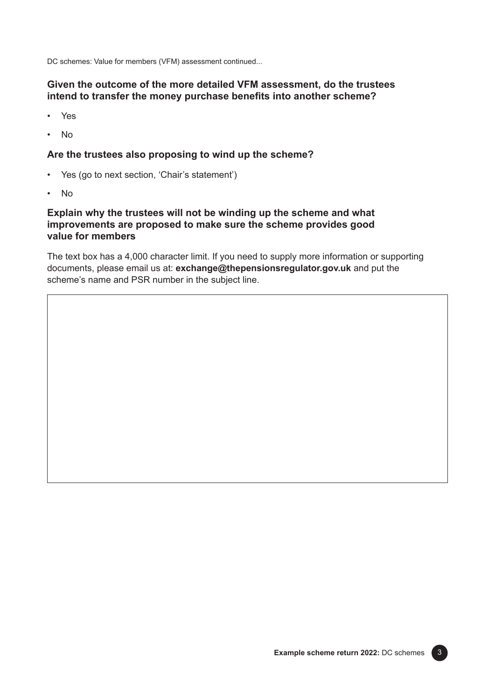DC schemes: Value for members (VFM) assessment continued...

## **Given the outcome of the more detailed VFM assessment, do the trustees intend to transfer the money purchase benefits into another scheme?**

- Yes
- No

#### **Are the trustees also proposing to wind up the scheme?**

- Yes (go to next section, 'Chair's statement')
- No

## **Explain why the trustees will not be winding up the scheme and what improvements are proposed to make sure the scheme provides good value for members**

The text box has a 4,000 character limit. If you need to supply more information or supporting documents, please email us at: **[exchange@thepensionsregulator.gov.uk](mailto:exchange@thepensionsregulator.gov.uk)** and put the scheme's name and PSR number in the subject line.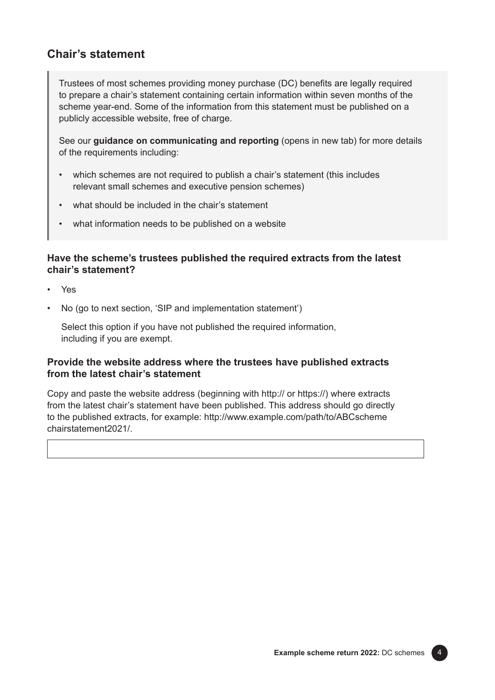## **Chair's statement**

Trustees of most schemes providing money purchase (DC) benefits are legally required to prepare a chair's statement containing certain information within seven months of the scheme year-end. Some of the information from this statement must be published on a publicly accessible website, free of charge.

See our **[guidance on communicating and reporting](https://www.thepensionsregulator.gov.uk/en/document-library/scheme-management-detailed-guidance/communications-and-reporting-detailed-guidance/6-communicating-and-reporting#6662df02d32046b292360baf721cb1a2)** (opens in new tab) for more details of the requirements including:

- which schemes are not required to publish a chair's statement (this includes relevant small schemes and executive pension schemes)
- what should be included in the chair's statement
- what information needs to be published on a website

## **Have the scheme's trustees published the required extracts from the latest chair's statement?**

- Yes
- No (go to next section, 'SIP and implementation statement')

Select this option if you have not published the required information, including if you are exempt.

## **Provide the website address where the trustees have published extracts from the latest chair's statement**

Copy and paste the website address (beginning with http:// or https://) where extracts from the latest chair's statement have been published. This address should go directly to the published extracts, for example: [http://www.example.com/path/to/ABCscheme](http://www.example.com/path/to/ABCscheme/chairstatement2021/) [chairstatement2021/](http://www.example.com/path/to/ABCscheme/chairstatement2021/).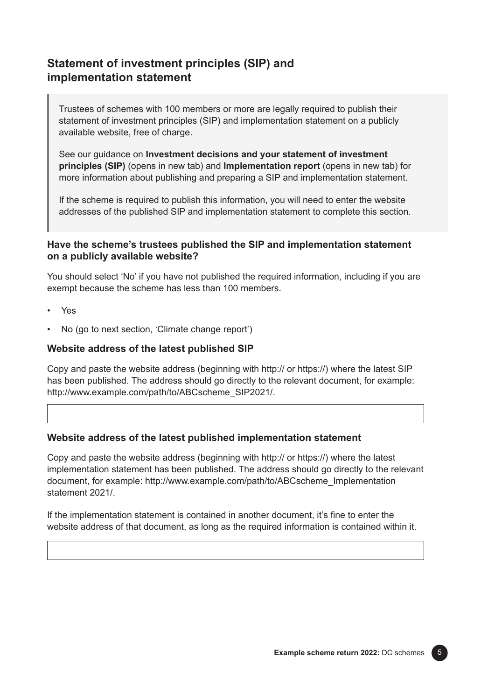# **Statement of investment principles (SIP) and implementation statement**

Trustees of schemes with 100 members or more are legally required to publish their statement of investment principles (SIP) and implementation statement on a publicly available website, free of charge.

See our guidance on **[Investment decisions and your statement of investment](https://www.thepensionsregulator.gov.uk/en/document-library/scheme-management-detailed-guidance/funding-and-investment-detailed-guidance/investment-guide-for-dc-pension-schemes-#:~:text=rationale%20behind%20it.-,Investment%20decisions%20and%20your%20statement%20of%20investment%20principles%20(SIP),-The%20purpose%20of)  [principles \(SIP\)](https://www.thepensionsregulator.gov.uk/en/document-library/scheme-management-detailed-guidance/funding-and-investment-detailed-guidance/investment-guide-for-dc-pension-schemes-#:~:text=rationale%20behind%20it.-,Investment%20decisions%20and%20your%20statement%20of%20investment%20principles%20(SIP),-The%20purpose%20of)** (opens in new tab) and **[Implementation report](https://www.thepensionsregulator.gov.uk/en/document-library/scheme-management-detailed-guidance/funding-and-investment-detailed-guidance/investment-guide-for-dc-pension-schemes-#:~:text=much%20more%20onerous.-,Implementation%20report,-Schemes%2C%20unless%20exempt)** (opens in new tab) for more information about publishing and preparing a SIP and implementation statement.

If the scheme is required to publish this information, you will need to enter the website addresses of the published SIP and implementation statement to complete this section.

## **Have the scheme's trustees published the SIP and implementation statement on a publicly available website?**

You should select 'No' if you have not published the required information, including if you are exempt because the scheme has less than 100 members.

- Yes
- No (go to next section, 'Climate change report')

#### **Website address of the latest published SIP**

Copy and paste the website address (beginning with http:// or https://) where the latest SIP has been published. The address should go directly to the relevant document, for example: [http://www.example.com/path/to/ABCscheme\\_SIP2021/](http://www.example.com/path/to/ABCscheme_SIP2021/).

#### **Website address of the latest published implementation statement**

Copy and paste the website address (beginning with http:// or https://) where the latest implementation statement has been published. The address should go directly to the relevant document, for example: [http://www.example.com/path/to/ABCscheme\\_Implementation](http://www.example.com/path/to/ABCscheme_Implementation/statement/2021) [statement 2021/.](http://www.example.com/path/to/ABCscheme_Implementation/statement/2021)

If the implementation statement is contained in another document, it's fine to enter the website address of that document, as long as the required information is contained within it.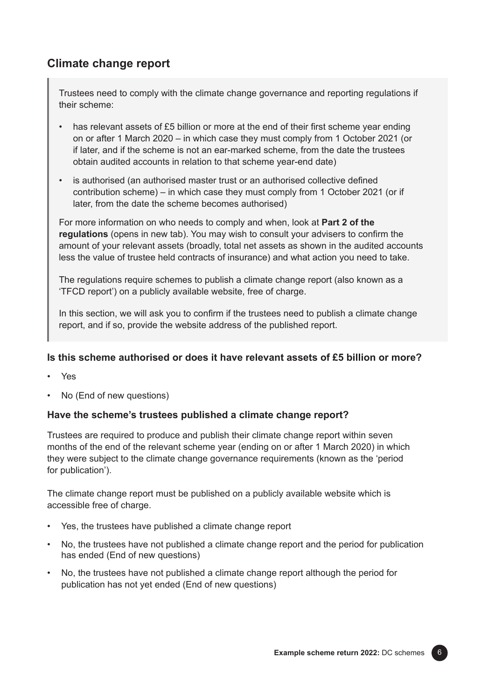# **Climate change report**

Trustees need to comply with the climate change governance and reporting regulations if their scheme:

- has relevant assets of £5 billion or more at the end of their first scheme year ending on or after 1 March 2020 – in which case they must comply from 1 October 2021 (or if later, and if the scheme is not an ear-marked scheme, from the date the trustees obtain audited accounts in relation to that scheme year-end date)
- is authorised (an authorised master trust or an authorised collective defined contribution scheme) – in which case they must comply from 1 October 2021 (or if later, from the date the scheme becomes authorised)

For more information on who needs to comply and when, look at **[Part 2 of the](https://www.gov.uk/government/consultations/taking-action-on-climate-risk-improving-governance-and-reporting-by-occupational-pension-schemes-response-and-consultation-on-regulations/the-occupational-pension-schemes-climate-change-governance-and-reporting-regulations-2021#part-2-climate-change-governance-and-reporting)  [regulations](https://www.gov.uk/government/consultations/taking-action-on-climate-risk-improving-governance-and-reporting-by-occupational-pension-schemes-response-and-consultation-on-regulations/the-occupational-pension-schemes-climate-change-governance-and-reporting-regulations-2021#part-2-climate-change-governance-and-reporting)** (opens in new tab). You may wish to consult your advisers to confirm the amount of your relevant assets (broadly, total net assets as shown in the audited accounts less the value of trustee held contracts of insurance) and what action you need to take.

The regulations require schemes to publish a climate change report (also known as a 'TFCD report') on a publicly available website, free of charge.

In this section, we will ask you to confirm if the trustees need to publish a climate change report, and if so, provide the website address of the published report.

## **Is this scheme authorised or does it have relevant assets of £5 billion or more?**

- Yes
- No (End of new questions)

## **Have the scheme's trustees published a climate change report?**

Trustees are required to produce and publish their climate change report within seven months of the end of the relevant scheme year (ending on or after 1 March 2020) in which they were subject to the climate change governance requirements (known as the 'period for publication').

The climate change report must be published on a publicly available website which is accessible free of charge.

- Yes, the trustees have published a climate change report
- No, the trustees have not published a climate change report and the period for publication has ended (End of new questions)
- No, the trustees have not published a climate change report although the period for publication has not yet ended (End of new questions)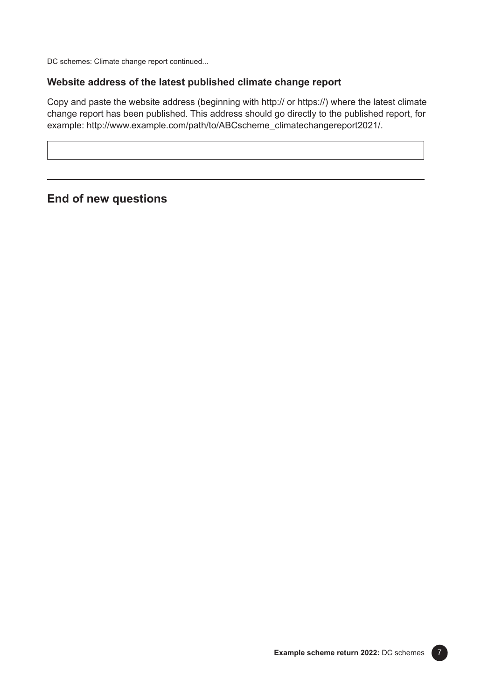DC schemes: Climate change report continued...

## **Website address of the latest published climate change report**

Copy and paste the website address (beginning with http:// or https://) where the latest climate change report has been published. This address should go directly to the published report, for example: [http://www.example.com/path/to/ABCscheme\\_climatechangereport2021/.](http://www.example.com/path/to/ABCscheme_climatechangereport2021/)

**End of new questions**